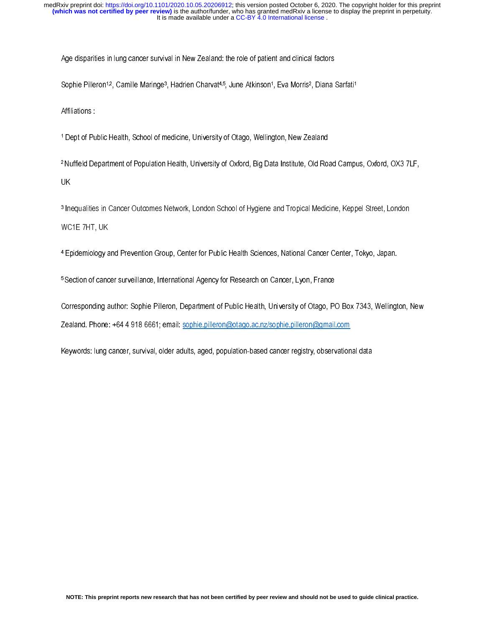Age disparities in lung cancer survival in New Zealand: the role of patient and clinical factors

Sophie Pilleron<sup>1,2</sup>, Camille Maringe<sup>3</sup>, Hadrien Charvat<sup>4,5</sup>, June Atkinson<sup>1</sup>, Eva Morris<sup>2</sup>, Diana Sarfati<sup>1</sup>

Affiliations :

1 Dept of Public Health, School of medicine, University of Otago, Wellington, New Zealand

2 Nuffield Department of Population Health, University of Oxford, Big Data Institute, Old Road Campus, Oxford, OX3 7LF, UK

3 Inequalities in Cancer Outcomes Network, London School of Hygiene and Tropical Medicine, Keppel Street, London WC1E 7HT, UK

4 Epidemiology and Prevention Group, Center for Public Health Sciences, National Cancer Center, Tokyo, Japan.

5 Section of cancer surveillance, International Agency for Research on Cancer, Lyon, France

Corresponding author: Sophie Pilleron, Department of Public Health, University of Otago, PO Box 7343, Wellington, New Zealand. Phone: +64 4 918 6661; email: sophie.pilleron@otago.ac.nz/sophie.pilleron@gmail.com

Keywords: lung cancer, survival, older adults, aged, population-based cancer registry, observational data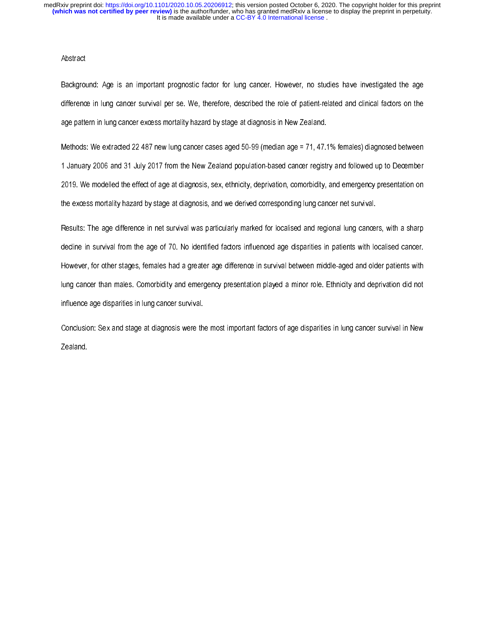## **Abstract**

Background: Age is an important prognostic factor for lung cancer. However, no studies have investigated the age difference in lung cancer survival per se. We, therefore, described the role of patient-related and clinical factors on the age pattern in lung cancer excess mortality hazard by stage at diagnosis in New Zealand.

Methods: We extracted 22 487 new lung cancer cases aged 50-99 (median age = 71, 47.1% females) diagnosed between 1 January 2006 and 31 July 2017 from the New Zealand population-based cancer registry and followed up to December 2019. We modelled the effect of age at diagnosis, sex, ethnicity, deprivation, comorbidity, and emergency presentation on the excess mortality hazard by stage at diagnosis, and we derived corresponding lung cancer net survival.

Results: The age difference in net survival was particularly marked for localised and regional lung cancers, with a sharp decline in survival from the age of 70. No identified factors influenced age disparities in patients with localised cancer. However, for other stages, females had a greater age difference in survival between middle-aged and older patients with lung cancer than males. Comorbidity and emergency presentation played a minor role. Ethnicity and deprivation did not influence age disparities in lung cancer survival.

Conclusion: Sex and stage at diagnosis were the most important factors of age disparities in lung cancer survival in New Zealand.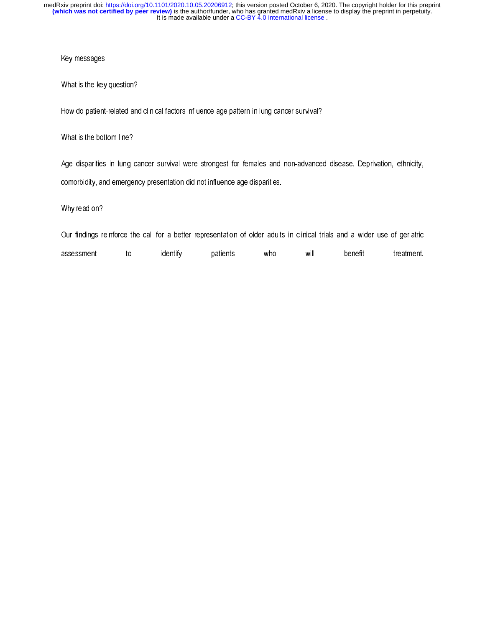## Key messages

What is the key question?

How do patient-related and clinical factors influence age pattern in lung cancer survival?

What is the bottom line?

Age disparities in lung cancer survival were strongest for females and non-advanced disease. Deprivation, ethnicity, comorbidity, and emergency presentation did not influence age disparities.

Why read on?

Our findings reinforce the call for a better representation of older adults in clinical trials and a wider use of geriatric

assessment to identify patients who will benefit treatment.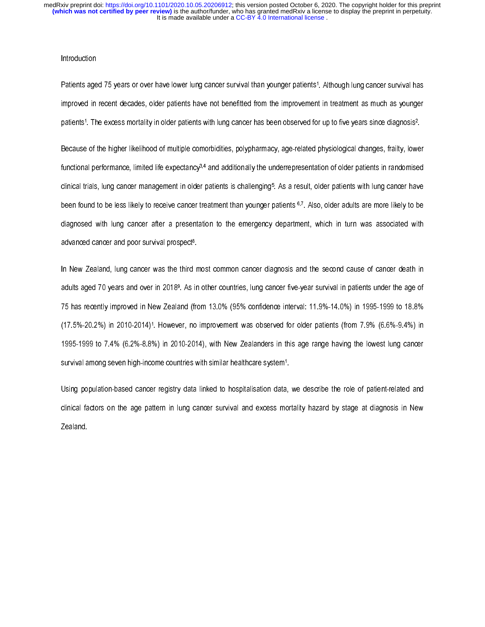### **Introduction**

Patients aged 75 years or over have lower lung cancer survival than younger patients1. Although lung cancer survival has improved in recent decades, older patients have not benefitted from the improvement in treatment as much as younger patients1. The excess mortality in older patients with lung cancer has been observed for up to five years since diagnosis2.

Because of the higher likelihood of multiple comorbidities, polypharmacy, age-related physiological changes, frailty, lower functional performance, limited life expectancy<sup>3,4</sup> and additionally the underrepresentation of older patients in randomised clinical trials, lung cancer management in older patients is challenging5. As a result, older patients with lung cancer have been found to be less likely to receive cancer treatment than younger patients 6.7. Also, older adults are more likely to be diagnosed with lung cancer after a presentation to the emergency department, which in turn was associated with advanced cancer and poor survival prospect<sup>8</sup>.

In New Zealand, lung cancer was the third most common cancer diagnosis and the second cause of cancer death in adults aged 70 years and over in 20189. As in other countries, lung cancer five-year survival in patients under the age of 75 has recently improved in New Zealand (from 13.0% (95% confidence interval: 11.9%-14.0%) in 1995-1999 to 18.8% (17.5%-20.2%) in 2010-2014)1. However, no improvement was observed for older patients (from 7.9% (6.6%-9.4%) in 1995-1999 to 7.4% (6.2%-8.8%) in 2010-2014), with New Zealanders in this age range having the lowest lung cancer survival among seven high-income countries with similar healthcare system1.

Using population-based cancer registry data linked to hospitalisation data, we describe the role of patient-related and clinical factors on the age pattern in lung cancer survival and excess mortality hazard by stage at diagnosis in New Zealand.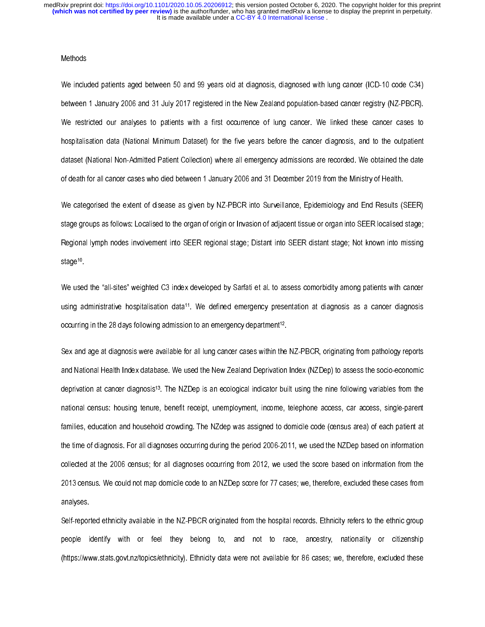## Methods

We included patients aged between 50 and 99 years old at diagnosis, diagnosed with lung cancer (ICD-10 code C34) between 1 January 2006 and 31 July 2017 registered in the New Zealand population-based cancer registry (NZ-PBCR). We restricted our analyses to patients with a first occurrence of lung cancer. We linked these cancer cases to hospitalisation data (National Minimum Dataset) for the five years before the cancer diagnosis, and to the outpatient dataset (National Non-Admitted Patient Collection) where all emergency admissions are recorded. We obtained the date of death for all cancer cases who died between 1 January 2006 and 31 December 2019 from the Ministry of Health.

We categorised the extent of disease as given by NZ-PBCR into Surveillance, Epidemiology and End Results (SEER) stage groups as follows: Localised to the organ of origin or Invasion of adjacent tissue or organ into SEER localised stage; Regional lymph nodes involvement into SEER regional stage; Distant into SEER distant stage; Not known into missing stage<sup>10</sup>

We used the "all-sites" weighted C3 index developed by Sarfati et al. to assess comorbidity among patients with cancer using administrative hospitalisation data11. We defined emergency presentation at diagnosis as a cancer diagnosis occurring in the 28 days following admission to an emergency department<sup>12</sup>.

Sex and age at diagnosis were available for all lung cancer cases within the NZ-PBCR, originating from pathology reports and National Health Index database. We used the New Zealand Deprivation Index (NZDep) to assess the socio-economic deprivation at cancer diagnosis13. The NZDep is an ecological indicator built using the nine following variables from the national census: housing tenure, benefit receipt, unemployment, income, telephone access, car access, single-parent families, education and household crowding. The NZdep was assigned to domicile code (census area) of each patient at the time of diagnosis. For all diagnoses occurring during the period 2006-2011, we used the NZDep based on information collected at the 2006 census; for all diagnoses occurring from 2012, we used the score based on information from the 2013 census. We could not map domicile code to an NZDep score for 77 cases; we, therefore, excluded these cases from analyses.

Self-reported ethnicity available in the NZ-PBCR originated from the hospital records. Ethnicity refers to the ethnic group people identify with or feel they belong to, and not to race, ancestry, nationality or citizenship (https://www.stats.govt.nz/topics/ethnicity). Ethnicity data were not available for 86 cases; we, therefore, excluded these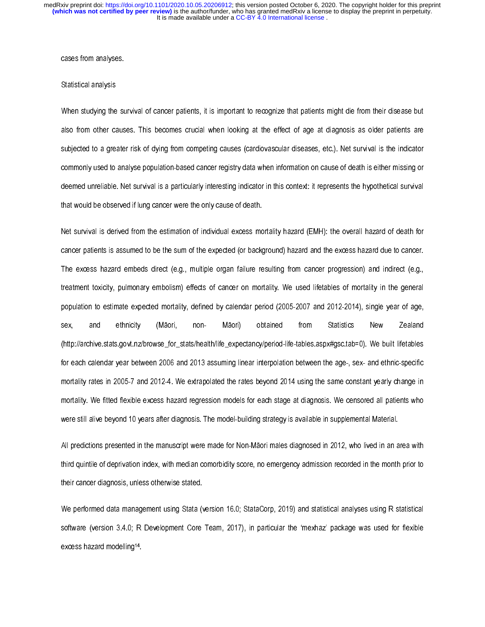cases from analyses.

#### Statistical analysis

When studying the survival of cancer patients, it is important to recognize that patients might die from their disease but also from other causes. This becomes crucial when looking at the effect of age at diagnosis as older patients are subjected to a greater risk of dying from competing causes (cardiovascular diseases, etc.). Net survival is the indicator commonly used to analyse population-based cancer registry data when information on cause of death is either missing or deemed unreliable. Net survival is a particularly interesting indicator in this context: it represents the hypothetical survival that would be observed if lung cancer were the only cause of death.

Net survival is derived from the estimation of individual excess mortality hazard (EMH): the overall hazard of death for cancer patients is assumed to be the sum of the expected (or background) hazard and the excess hazard due to cancer. The excess hazard embeds direct (e.g., multiple organ failure resulting from cancer progression) and indirect (e.g., treatment toxicity, pulmonary embolism) effects of cancer on mortality. We used lifetables of mortality in the general population to estimate expected mortality, defined by calendar period (2005-2007 and 2012-2014), single year of age, sex, and ethnicity (Māori, non- Māori) obtained from Statistics New Zealand (http://archive.stats.govt.nz/browse\_for\_stats/health/life\_expectancy/period-life-tables.aspx#gsc.tab=0). We built lifetables for each calendar year between 2006 and 2013 assuming linear interpolation between the age-, sex- and ethnic-specific mortality rates in 2005-7 and 2012-4. We extrapolated the rates beyond 2014 using the same constant yearly change in mortality. We fitted flexible excess hazard regression models for each stage at diagnosis. We censored all patients who were still alive beyond 10 years after diagnosis. The model-building strategy is available in supplemental Material.

All predictions presented in the manuscript were made for Non-Māori males diagnosed in 2012, who lived in an area with third quintile of deprivation index, with median comorbidity score, no emergency admission recorded in the month prior to their cancer diagnosis, unless otherwise stated.

We performed data management using Stata (version 16.0; StataCorp, 2019) and statistical analyses using R statistical software (version 3.4.0; R Development Core Team, 2017), in particular the 'mexhaz' package was used for flexible excess hazard modelling14.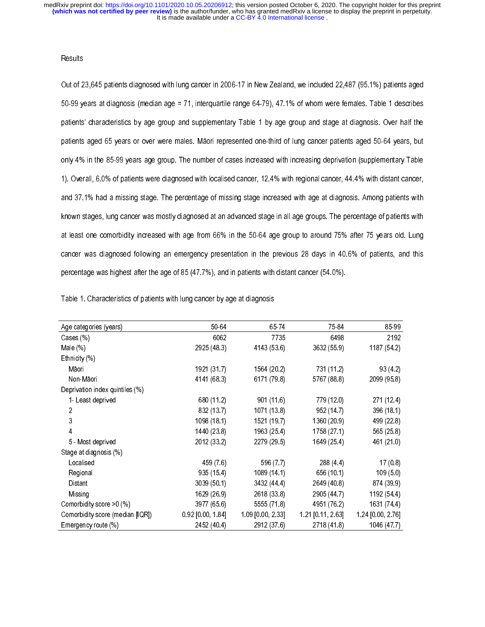## **Results**

Out of 23,645 patients diagnosed with lung cancer in 2006-17 in New Zealand, we included 22,487 (95.1%) patients aged 50-99 years at diagnosis (median age = 71, interquartile range 64-79), 47.1% of whom were females. Table 1 describes patients' characteristics by age group and supplementary Table 1 by age group and stage at diagnosis. Over half the patients aged 65 years or over were males. Māori represented one-third of lung cancer patients aged 50-64 years, but only 4% in the 85-99 years age group. The number of cases increased with increasing deprivation (supplementary Table 1). Overall, 6.0% of patients were diagnosed with localised cancer, 12.4% with regional cancer, 44.4% with distant cancer, and 37.1% had a missing stage. The percentage of missing stage increased with age at diagnosis. Among patients with known stages, lung cancer was mostly diagnosed at an advanced stage in all age groups. The percentage of patients with at least one comorbidity increased with age from 66% in the 50-64 age group to around 75% after 75 years old. Lung cancer was diagnosed following an emergency presentation in the previous 28 days in 40.6% of patients, and this percentage was highest after the age of 85 (47.7%), and in patients with distant cancer (54.0%).

| Table 1. Characteristics of patients with lung cancer by age at diagnosis |  |  |
|---------------------------------------------------------------------------|--|--|
|                                                                           |  |  |

| Age categories (years)           | 50-64               | 65 74             | 75 84             | 85-99             |
|----------------------------------|---------------------|-------------------|-------------------|-------------------|
| Cases (%)                        | 6062                | 7735              | 6498              | 2192              |
| Male (%)                         | 2925 (48.3)         | 4143 (53.6)       | 3632 (55.9)       | 1187 (54.2)       |
| Ethnicity (%)                    |                     |                   |                   |                   |
| Māori                            | 1921 (317)          | 1564 (20.2)       | 731 (11.2)        | 93 (42)           |
| Non-Māori                        | 4141 (683)          | 6171 (79.8)       | 5767 (88.8)       | 2099 (958)        |
| Deprivation index quintiles (%)  |                     |                   |                   |                   |
| 1-Least deprived                 | 680 (11.2)          | 901(116)          | 779 (12.0)        | 271 (12.4)        |
| 2                                | 832 (13.7)          | 1071 (13.8)       | 952 (14.7)        | 396 (181)         |
| 3                                | 1098 (18.1)         | 1521 (19.7)       | 1360 (20.9)       | 499 (22.8)        |
| 4                                | 1440 (238)          | 1963 (25.4)       | 1758 (27.1)       | 565 (25.8)        |
| 5 - Most deprived                | 2012 (33.2)         | 2279 (29.5)       | 1649 (25.4)       | 461 (210)         |
| Stage at diagnosis (%)           |                     |                   |                   |                   |
| Localised                        | 459 (7.6)           | 596 (7.7)         | 288 (4.4)         | 17(08)            |
| Regional                         | 935 (154)           | 1089 (14.1)       | 656 (10.1)        | 109(50)           |
| Distant                          | 3039 (50.1)         | 3432 (44.4)       | 2649 (40 8)       | 874 (39.9)        |
| Missing                          | 1629 (26.9)         | 2618 (338)        | 2905 (44.7)       | 1192 (544)        |
| Comorbidity score > 0 (%)        | 3977 (65.6)         | 5555 (71.8)       | 4951 (76.2)       | 1631 (74.4)       |
| Comorbidity score (median [IQR]) | $0.92$ [0 00, 1 84] | 1 09 [0 00, 2 33] | 1.21 [0.11, 2.63] | 1 24 [0 00, 2 76] |
| Emergency route (%)              | 2452 (40.4)         | 2912 (37.6)       | 2718 (41.8)       | 1046 (47.7)       |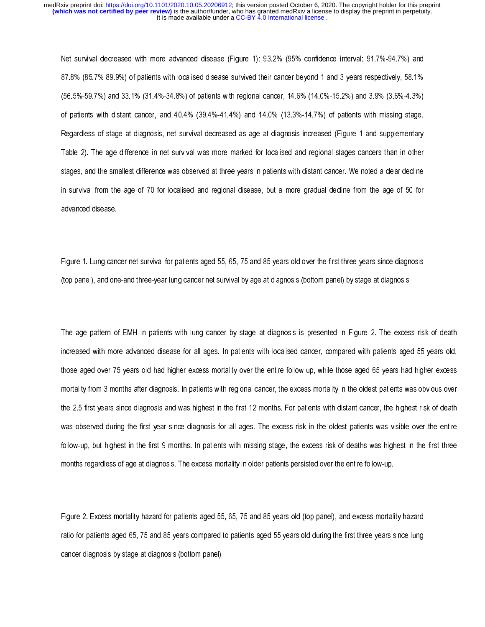Net survival decreased with more advanced disease (Figure 1): 93.2% (95% confidence interval: 91.7%-94.7%) and 87.8% (85.7%-89.9%) of patients with localised disease survived their cancer beyond 1 and 3 years respectively, 58.1% (56.5%-59.7%) and 33.1% (31.4%-34.8%) of patients with regional cancer, 14.6% (14.0%-15.2%) and 3.9% (3.6%-4.3%) of patients with distant cancer, and 40.4% (39.4%-41.4%) and 14.0% (13.3%-14.7%) of patients with missing stage. Regardless of stage at diagnosis, net survival decreased as age at diagnosis increased (Figure 1 and supplementary Table 2). The age difference in net survival was more marked for localised and regional stages cancers than in other stages, and the smallest difference was observed at three years in patients with distant cancer. We noted a clear decline in survival from the age of 70 for localised and regional disease, but a more gradual decline from the age of 50 for advanced disease.

Figure 1. Lung cancer net survival for patients aged 55, 65, 75 and 85 years old over the first three years since diagnosis (top panel), and one-and three-year lung cancer net survival by age at diagnosis (bottom panel) by stage at diagnosis

The age pattern of EMH in patients with lung cancer by stage at diagnosis is presented in Figure 2. The excess risk of death increased with more advanced disease for all ages. In patients with localised cancer, compared with patients aged 55 years old, those aged over 75 years old had higher excess mortality over the entire follow-up, while those aged 65 years had higher excess mortality from 3 months after diagnosis. In patients with regional cancer, the excess mortality in the oldest patients was obvious over the 2.5 first years since diagnosis and was highest in the first 12 months. For patients with distant cancer, the highest risk of death was observed during the first year since diagnosis for all ages. The excess risk in the oldest patients was visible over the entire follow-up, but highest in the first 9 months. In patients with missing stage, the excess risk of deaths was highest in the first three months regardless of age at diagnosis. The excess mortality in older patients persisted over the entire follow-up.

Figure 2. Excess mortality hazard for patients aged 55, 65, 75 and 85 years old (top panel), and excess mortality hazard ratio for patients aged 65, 75 and 85 years compared to patients aged 55 years old during the first three years since lung cancer diagnosis by stage at diagnosis (bottom panel)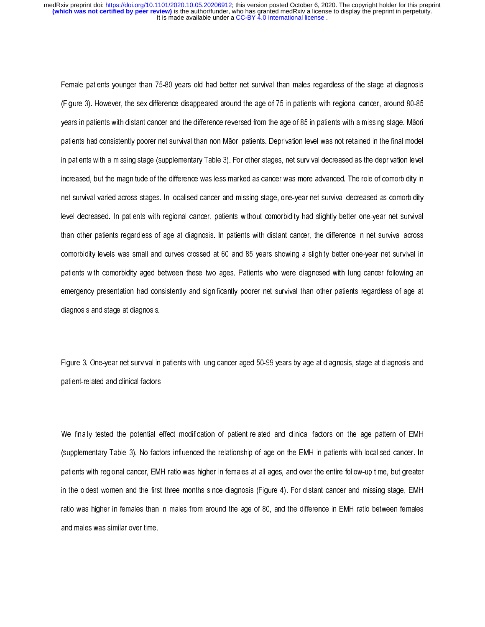Female patients younger than 75-80 years old had better net survival than males regardless of the stage at diagnosis (Figure 3). However, the sex difference disappeared around the age of 75 in patients with regional cancer, around 80-85 years in patients with distant cancer and the difference reversed from the age of 85 in patients with a missing stage. Māori patients had consistently poorer net survival than non-Māori patients. Deprivation level was not retained in the final model in patients with a missing stage (supplementary Table 3). For other stages, net survival decreased as the deprivation level increased, but the magnitude of the difference was less marked as cancer was more advanced. The role of comorbidity in net survival varied across stages. In localised cancer and missing stage, one-year net survival decreased as comorbidity level decreased. In patients with regional cancer, patients without comorbidity had slightly better one-year net survival than other patients regardless of age at diagnosis. In patients with distant cancer, the difference in net survival across comorbidity levels was small and curves crossed at 60 and 85 years showing a slighlty better one-year net survival in patients with comorbidity aged between these two ages. Patients who were diagnosed with lung cancer following an emergency presentation had consistently and significantly poorer net survival than other patients regardless of age at diagnosis and stage at diagnosis.

Figure 3. One-year net survival in patients with lung cancer aged 50-99 years by age at diagnosis, stage at diagnosis and patient-related and clinical factors

We finally tested the potential effect modification of patient-related and clinical factors on the age pattern of EMH (supplementary Table 3). No factors influenced the relationship of age on the EMH in patients with localised cancer. In patients with regional cancer, EMH ratio was higher in females at all ages, and over the entire follow-up time, but greater in the oldest women and the first three months since diagnosis (Figure 4). For distant cancer and missing stage, EMH ratio was higher in females than in males from around the age of 80, and the difference in EMH ratio between females and males was similar over time.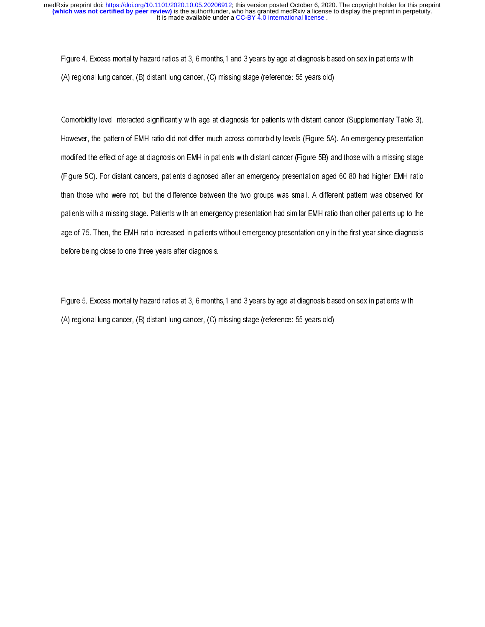Figure 4. Excess mortality hazard ratios at 3, 6 months,1 and 3 years by age at diagnosis based on sex in patients with (A) regional lung cancer, (B) distant lung cancer, (C) missing stage (reference: 55 years old)

Comorbidity level interacted significantly with age at diagnosis for patients with distant cancer (Supplementary Table 3). However, the pattern of EMH ratio did not differ much across comorbidity levels (Figure 5A). An emergency presentation modified the effect of age at diagnosis on EMH in patients with distant cancer (Figure 5B) and those with a missing stage (Figure 5C). For distant cancers, patients diagnosed after an emergency presentation aged 60-80 had higher EMH ratio than those who were not, but the difference between the two groups was small. A different pattern was observed for patients with a missing stage. Patients with an emergency presentation had similar EMH ratio than other patients up to the age of 75. Then, the EMH ratio increased in patients without emergency presentation only in the first year since diagnosis before being close to one three years after diagnosis.

Figure 5. Excess mortality hazard ratios at 3, 6 months, 1 and 3 years by age at diagnosis based on sex in patients with (A) regional lung cancer, (B) distant lung cancer, (C) missing stage (reference: 55 years old)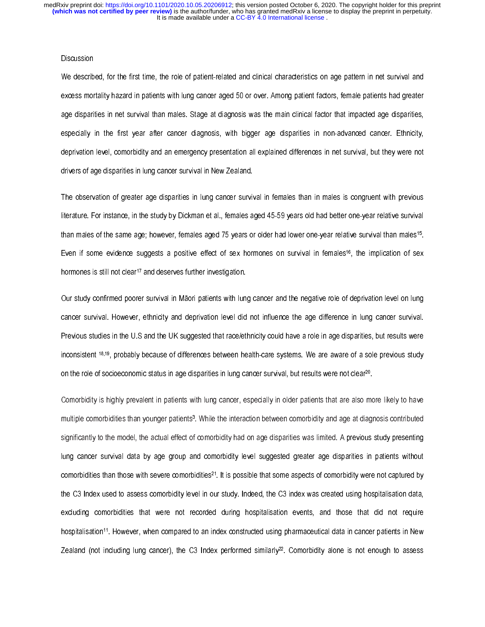## **Discussion**

We described, for the first time, the role of patient-related and clinical characteristics on age pattern in net survival and excess mortality hazard in patients with lung cancer aged 50 or over. Among patient factors, female patients had greater age disparities in net survival than males. Stage at diagnosis was the main clinical factor that impacted age disparities, especially in the first year after cancer diagnosis, with bigger age disparities in non-advanced cancer. Ethnicity, deprivation level, comorbidity and an emergency presentation all explained differences in net survival, but they were not drivers of age disparities in lung cancer survival in New Zealand.

The observation of greater age disparities in lung cancer survival in females than in males is congruent with previous literature. For instance, in the study by Dickman et al., females aged 45-59 years old had better one-year relative survival than males of the same age; however, females aged 75 years or older had lower one-year relative survival than males<sup>15</sup>. Even if some evidence suggests a positive effect of sex hormones on survival in females<sup>16</sup>, the implication of sex hormones is still not clear<sup>17</sup> and deserves further investigation.

Our study confirmed poorer survival in Māori patients with lung cancer and the negative role of deprivation level on lung cancer survival. However, ethnicity and deprivation level did not influence the age difference in lung cancer survival. Previous studies in the U.S and the UK suggested that race/ethnicity could have a role in age disparities, but results were inconsistent 18,19, probably because of differences between health-care systems. We are aware of a sole previous study on the role of socioeconomic status in age disparities in lung cancer survival, but results were not clear20.

Comorbidity is highly prevalent in patients with lung cancer, especially in older patients that are also more likely to have multiple comorbidities than younger patients3. While the interaction between comorbidity and age at diagnosis contributed significantly to the model, the actual effect of comorbidity had on age disparities was limited. A previous study presenting lung cancer survival data by age group and comorbidity level suggested greater age disparities in patients without comorbidities than those with severe comorbidities<sup>21</sup>. It is possible that some aspects of comorbidity were not captured by the C3 Index used to assess comorbidity level in our study. Indeed, the C3 index was created using hospitalisation data, excluding comorbidities that were not recorded during hospitalisation events, and those that did not require hospitalisation<sup>11</sup>. However, when compared to an index constructed using pharmaceutical data in cancer patients in New Zealand (not including lung cancer), the C3 Index performed similarly<sup>22</sup>. Comorbidity alone is not enough to assess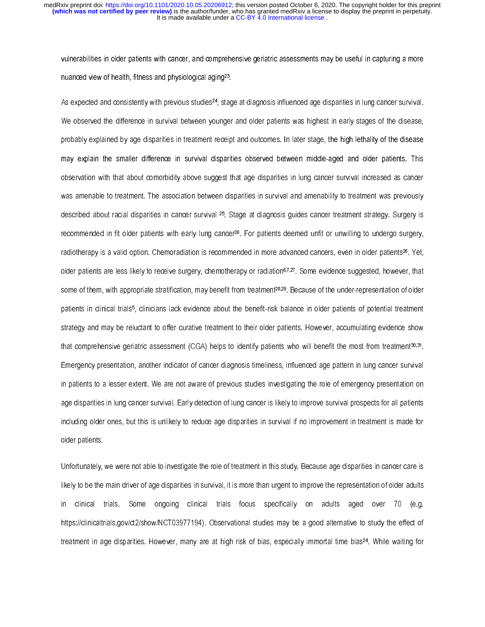vulnerabilities in older patients with cancer, and comprehensive geriatric assessments may be useful in capturing a more nuanced view of health, fitness and physiological aging23.

As expected and consistently with previous studies<sup>24</sup>, stage at diagnosis influenced age disparities in lung cancer survival. We observed the difference in survival between younger and older patients was highest in early stages of the disease, probably explained by age disparities in treatment receipt and outcomes. In later stage, the high lethality of the disease may explain the smaller difference in survival disparities observed between middle-aged and older patients. This observation with that about comorbidity above suggest that age disparities in lung cancer survival increased as cancer was amenable to treatment. The association between disparities in survival and amenability to treatment was previously described about racial disparities in cancer survival 25. Stage at diagnosis guides cancer treatment strategy. Surgery is recommended in fit older patients with early lung cancer<sup>26</sup>. For patients deemed unfit or unwilling to undergo surgery, radiotherapy is a valid option. Chemoradiation is recommended in more advanced cancers, even in older patients<sup>26</sup>. Yet, older patients are less likely to receive surgery, chemotherapy or radiation<sup>6,7,27</sup>. Some evidence suggested, however, that some of them, with appropriate stratification, may benefit from treatment<sup>28,29</sup>. Because of the under-representation of older patients in clinical trials5, clinicians lack evidence about the benefit-risk balance in older patients of potential treatment strategy and may be reluctant to offer curative treatment to their older patients. However, accumulating evidence show that comprehensive geriatric assessment (CGA) helps to identify patients who will benefit the most from treatment<sup>30,31</sup>. Emergency presentation, another indicator of cancer diagnosis timeliness, influenced age pattern in lung cancer survival in patients to a lesser extent. We are not aware of previous studies investigating the role of emergency presentation on age disparities in lung cancer survival. Early detection of lung cancer is likely to improve survival prospects for all patients including older ones, but this is unlikely to reduce age disparities in survival if no improvement in treatment is made for older patients.

Unfortunately, we were not able to investigate the role of treatment in this study. Because age disparities in cancer care is likely to be the main driver of age disparities in survival, it is more than urgent to improve the representation of older adults in clinical trials. Some ongoing clinical trials focus specifically on adults aged over 70 (e.g. https://clinicaltrials.gov/ct2/show/NCT03977194). Observational studies may be a good alternative to study the effect of treatment in age disparities. However, many are at high risk of bias, especially immortal time bias24. While waiting for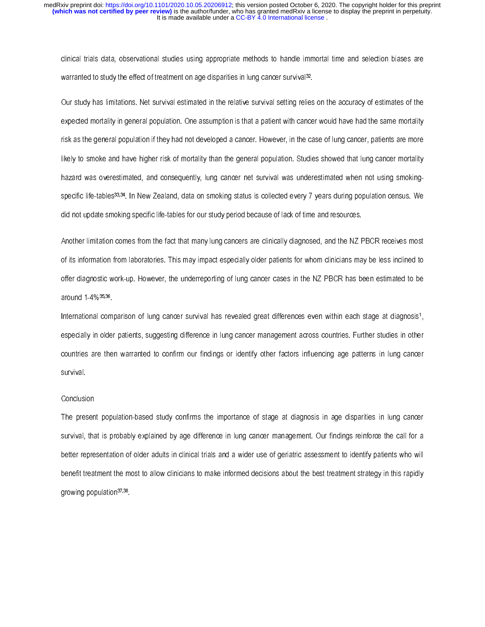clinical trials data, observational studies using appropriate methods to handle immortal time and selection biases are warranted to study the effect of treatment on age disparities in lung cancer survival<sup>32</sup>.

Our study has limitations. Net survival estimated in the relative survival setting relies on the accuracy of estimates of the expected mortality in general population. One assumption is that a patient with cancer would have had the same mortality risk as the general population if they had not developed a cancer. However, in the case of lung cancer, patients are more likely to smoke and have higher risk of mortality than the general population. Studies showed that lung cancer mortality hazard was overestimated, and consequently, lung cancer net survival was underestimated when not using smokingspecific life-tables<sup>33,34</sup>. In New Zealand, data on smoking status is collected every 7 years during population census. We did not update smoking specific life-tables for our study period because of lack of time and resources.

Another limitation comes from the fact that many lung cancers are clinically diagnosed, and the NZ PBCR receives most of its information from laboratories. This may impact especially older patients for whom clinicians may be less inclined to offer diagnostic work-up. However, the underreporting of lung cancer cases in the NZ PBCR has been estimated to be around 1-4%35,36.

International comparison of lung cancer survival has revealed great differences even within each stage at diagnosis<sup>1</sup>, especially in older patients, suggesting difference in lung cancer management across countries. Further studies in other countries are then warranted to confirm our findings or identify other factors influencing age patterns in lung cancer survival.

#### **Conclusion**

The present population-based study confirms the importance of stage at diagnosis in age disparities in lung cancer survival, that is probably explained by age difference in lung cancer management. Our findings reinforce the call for a better representation of older adults in clinical trials and a wider use of geriatric assessment to identify patients who will benefit treatment the most to allow clinicians to make informed decisions about the best treatment strategy in this rapidly growing population<sup>37,38</sup>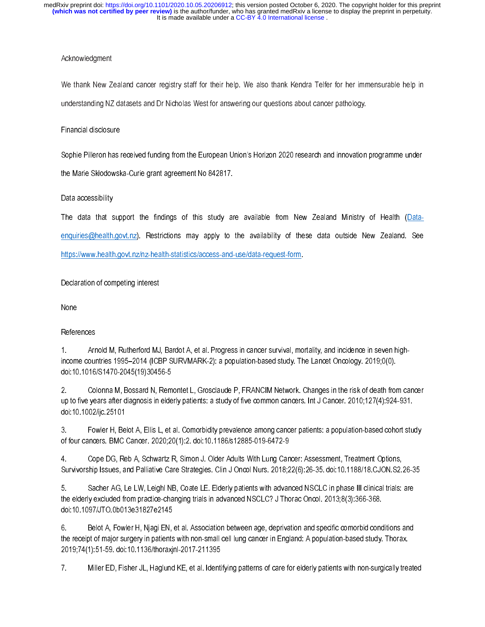## Acknowledgment

We thank New Zealand cancer registry staff for their help. We also thank Kendra Telfer for her immensurable help in understanding NZ datasets and Dr Nicholas West for answering our questions about cancer pathology.

## Financial disclosure

Sophie Pilleron has received funding from the European Union's Horizon 2020 research and innovation programme under

the Marie Skłodowska-Curie grant agreement No 842817.

## Data accessibility

The data that support the findings of this study are available from New Zealand Ministry of Health (Dataenquiries@health.govt.nz). Restrictions may apply to the availability of these data outside New Zealand. See https://www.health.govt.nz/nz-health-statistics/access-and-use/data-request-form.

# Declaration of competing interest

None

# **References**

1. Arnold M, Rutherford MJ, Bardot A, et al. Progress in cancer survival, mortality, and incidence in seven highincome countries 1995–2014 (ICBP SURVMARK-2): a population-based study. The Lancet Oncology. 2019;0(0). doi:10.1016/S1470-2045(19)30456-5

2. Colonna M, Bossard N, Remontet L, Grosclaude P, FRANCIM Network. Changes in the risk of death from cancer up to five years after diagnosis in elderly patients: a study of five common cancers. Int J Cancer. 2010;127(4):924-931. doi:10.1002/ijc.25101

3. Fowler H, Belot A, Ellis L, et al. Comorbidity prevalence among cancer patients: a population-based cohort study of four cancers. BMC Cancer. 2020;20(1):2. doi:10.1186/s12885-019-6472-9

4. Cope DG, Reb A, Schwartz R, Simon J. Older Adults With Lung Cancer: Assessment, Treatment Options, Survivorship Issues, and Palliative Care Strategies. Clin J Oncol Nurs. 2018;22(6):26-35. doi:10.1188/18.CJON.S2.26-35

5. Sacher AG, Le LW, Leighl NB, Coate LE. Elderly patients with advanced NSCLC in phase III clinical trials: are the elderly excluded from practice-changing trials in advanced NSCLC? J Thorac Oncol. 2013;8(3):366-368. doi:10.1097/JTO.0b013e31827e2145

6. Belot A, Fowler H, Njagi EN, et al. Association between age, deprivation and specific comorbid conditions and the receipt of major surgery in patients with non-small cell lung cancer in England: A population-based study. Thorax. 2019;74(1):51-59. doi:10.1136/thoraxjnl-2017-211395

7. Miller ED, Fisher JL, Haglund KE, et al. Identifying patterns of care for elderly patients with non-surgically treated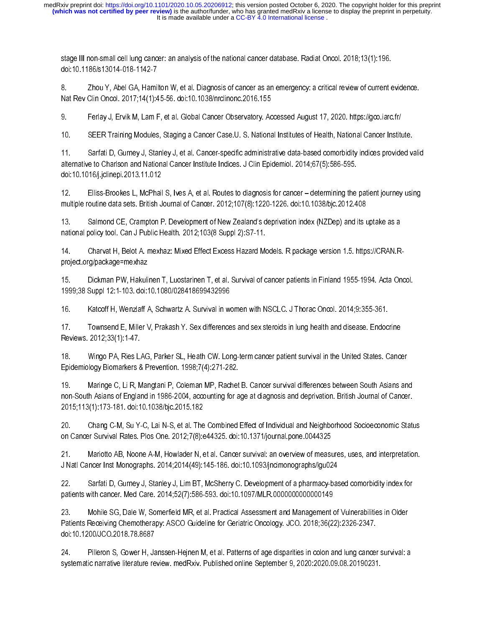stage III non-small cell lung cancer: an analysis of the national cancer database. Radiat Oncol. 2018;13(1):196. doi:10.1186/s13014-018-1142-7

8. Zhou Y, Abel GA, Hamilton W, et al. Diagnosis of cancer as an emergency: a critical review of current evidence. Nat Rev Clin Oncol. 2017;14(1):45-56. doi:10.1038/nrclinonc.2016.155

9. Ferlay J, Ervik M, Lam F, et al. Global Cancer Observatory. Accessed August 17, 2020. https://gco.iarc.fr/

10. SEER Training Modules, Staging a Cancer Case.U. S. National Institutes of Health, National Cancer Institute.

11. Sarfati D, Gurney J, Stanley J, et al. Cancer-specific administrative data-based comorbidity indices provided valid alternative to Charlson and National Cancer Institute Indices. J Clin Epidemiol. 2014;67(5):586-595. doi:10.1016/j.jclinepi.2013.11.012

12. Elliss-Brookes L, McPhail S, Ives A, et al. Routes to diagnosis for cancer – determining the patient journey using multiple routine data sets. British Journal of Cancer. 2012;107(8):1220-1226. doi:10.1038/bjc.2012.408

13. Salmond CE, Crampton P. Development of New Zealand's deprivation index (NZDep) and its uptake as a national policy tool. Can J Public Health. 2012;103(8 Suppl 2):S7-11.

14. Charvat H, Belot A. mexhaz: Mixed Effect Excess Hazard Models. R package version 1.5. https://CRAN.Rproject.org/package=mexhaz

15. Dickman PW, Hakulinen T, Luostarinen T, et al. Survival of cancer patients in Finland 1955-1994. Acta Oncol. 1999;38 Suppl 12:1-103. doi:10.1080/028418699432996

16. Katcoff H, Wenzlaff A, Schwartz A. Survival in women with NSCLC. J Thorac Oncol. 2014;9:355-361.

17. Townsend E, Miller V, Prakash Y. Sex differences and sex steroids in lung health and disease. Endocrine Reviews. 2012;33(1):1-47.

18. Wingo PA, Ries LAG, Parker SL, Heath CW. Long-term cancer patient survival in the United States. Cancer Epidemiology Biomarkers & Prevention. 1998;7(4):271-282.

19. Maringe C, Li R, Mangtani P, Coleman MP, Rachet B. Cancer survival differences between South Asians and non-South Asians of England in 1986-2004, accounting for age at diagnosis and deprivation. British Journal of Cancer. 2015;113(1):173-181. doi:10.1038/bjc.2015.182

20. Chang C-M, Su Y-C, Lai N-S, et al. The Combined Effect of Individual and Neighborhood Socioeconomic Status on Cancer Survival Rates. Plos One. 2012;7(8):e44325. doi:10.1371/journal.pone.0044325

21. Mariotto AB, Noone A-M, Howlader N, et al. Cancer survival: an overview of measures, uses, and interpretation. J Natl Cancer Inst Monographs. 2014;2014(49):145-186. doi:10.1093/jncimonographs/lgu024

22. Sarfati D, Gurney J, Stanley J, Lim BT, McSherry C. Development of a pharmacy-based comorbidity index for patients with cancer. Med Care. 2014;52(7):586-593. doi:10.1097/MLR.0000000000000149

23. Mohile SG, Dale W, Somerfield MR, et al. Practical Assessment and Management of Vulnerabilities in Older Patients Receiving Chemotherapy: ASCO Guideline for Geriatric Oncology. JCO. 2018;36(22):2326-2347. doi:10.1200/JCO.2018.78.8687

24. Pilleron S, Gower H, Janssen-Hejnen M, et al. Patterns of age disparities in colon and lung cancer survival: a systematic narrative literature review. medRxiv. Published online September 9, 2020:2020.09.08.20190231.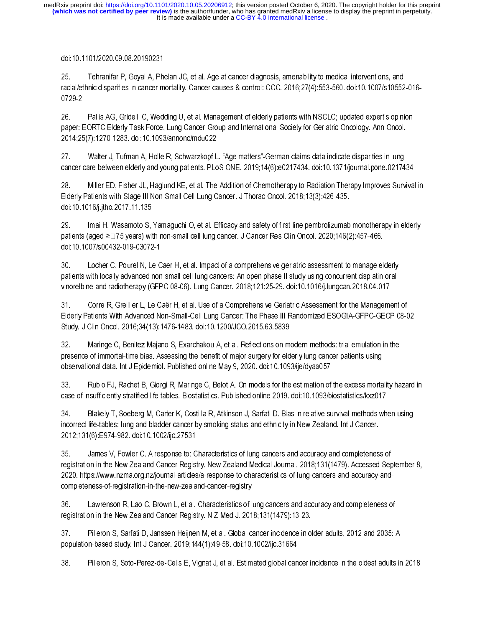## doi:10.1101/2020.09.08.20190231

25. Tehranifar P, Goyal A, Phelan JC, et al. Age at cancer diagnosis, amenability to medical interventions, and racial/ethnic disparities in cancer mortality. Cancer causes & control: CCC. 2016;27(4):553-560. doi:10.1007/s10552-016- 0729-2

26. Pallis AG, Gridelli C, Wedding U, et al. Management of elderly patients with NSCLC; updated expert's opinion paper: EORTC Elderly Task Force, Lung Cancer Group and International Society for Geriatric Oncology. Ann Oncol. 2014;25(7):1270-1283. doi:10.1093/annonc/mdu022

27. Walter J, Tufman A, Holle R, Schwarzkopf L. "Age matters"-German claims data indicate disparities in lung cancer care between elderly and young patients. PLoS ONE. 2019;14(6):e0217434. doi:10.1371/journal.pone.0217434

28. Miller ED, Fisher JL, Haglund KE, et al. The Addition of Chemotherapy to Radiation Therapy Improves Survival in Elderly Patients with Stage III Non-Small Cell Lung Cancer. J Thorac Oncol. 2018;13(3):426-435. doi:10.1016/j.jtho.2017.11.135

29. Imai H, Wasamoto S, Yamaguchi O, et al. Efficacy and safety of first-line pembrolizumab monotherapy in elderly patients (aged ≥□75 years) with non-small cell lung cancer. J Cancer Res Clin Oncol. 2020;146(2):457-466. doi:10.1007/s00432-019-03072-1

30. Locher C, Pourel N, Le Caer H, et al. Impact of a comprehensive geriatric assessment to manage elderly patients with locally advanced non-small-cell lung cancers: An open phase II study using concurrent cisplatin-oral vinorelbine and radiotherapy (GFPC 08-06). Lung Cancer. 2018;121:25-29. doi:10.1016/j.lungcan.2018.04.017

31. Corre R, Greillier L, Le Caër H, et al. Use of a Comprehensive Geriatric Assessment for the Management of Elderly Patients With Advanced Non-Small-Cell Lung Cancer: The Phase III Randomized ESOGIA-GFPC-GECP 08-02 Study. J Clin Oncol. 2016;34(13):1476-1483. doi:10.1200/JCO.2015.63.5839

32. Maringe C, Benitez Majano S, Exarchakou A, et al. Reflections on modern methods: trial emulation in the presence of immortal-time bias. Assessing the benefit of major surgery for elderly lung cancer patients using observational data. Int J Epidemiol. Published online May 9, 2020. doi:10.1093/ije/dyaa057

33. Rubio FJ, Rachet B, Giorgi R, Maringe C, Belot A. On models for the estimation of the excess mortality hazard in case of insufficiently stratified life tables. Biostatistics. Published online 2019. doi:10.1093/biostatistics/kxz017

34. Blakely T, Soeberg M, Carter K, Costilla R, Atkinson J, Sarfati D. Bias in relative survival methods when using incorrect life-tables: lung and bladder cancer by smoking status and ethnicity in New Zealand. Int J Cancer. 2012;131(6):E974-982. doi:10.1002/ijc.27531

35. James V, Fowler C. A response to: Characteristics of lung cancers and accuracy and completeness of registration in the New Zealand Cancer Registry. New Zealand Medical Journal. 2018;131(1479). Accessed September 8, 2020. https://www.nzma.org.nz/journal-articles/a-response-to-characteristics-of-lung-cancers-and-accuracy-andcompleteness-of-registration-in-the-new-zealand-cancer-registry

36. Lawrenson R, Lao C, Brown L, et al. Characteristics of lung cancers and accuracy and completeness of registration in the New Zealand Cancer Registry. N Z Med J. 2018;131(1479):13-23.

37. Pilleron S, Sarfati D, Janssen-Heijnen M, et al. Global cancer incidence in older adults, 2012 and 2035: A population-based study. Int J Cancer. 2019;144(1):49-58. doi:10.1002/ijc.31664

38. Pilleron S, Soto‐Perez‐de‐Celis E, Vignat J, et al. Estimated global cancer incidence in the oldest adults in 2018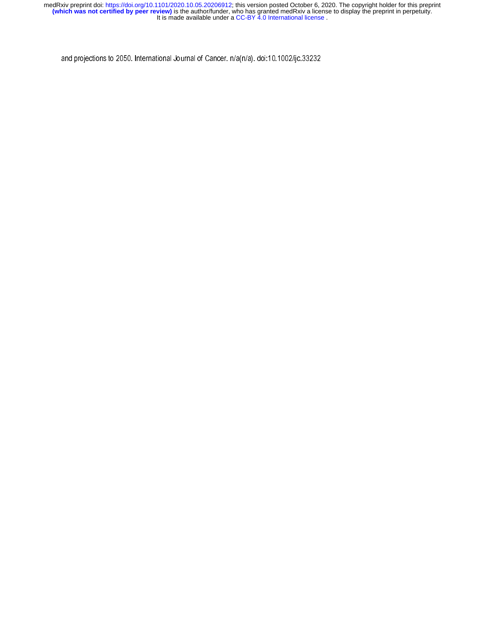and projections to 2050. International Journal of Cancer. n/a(n/a). doi:10.1002/ijc.33232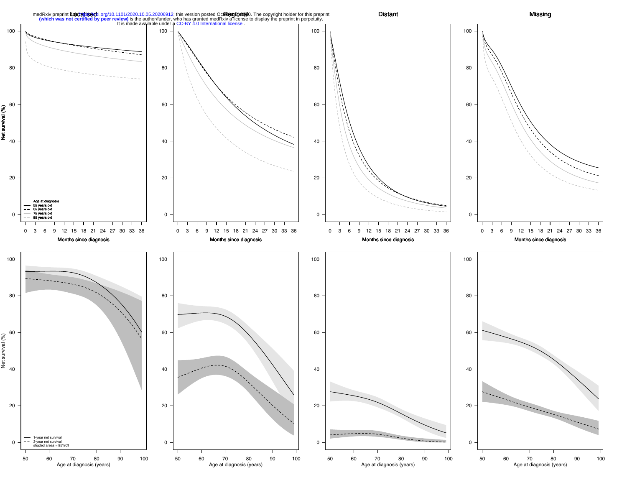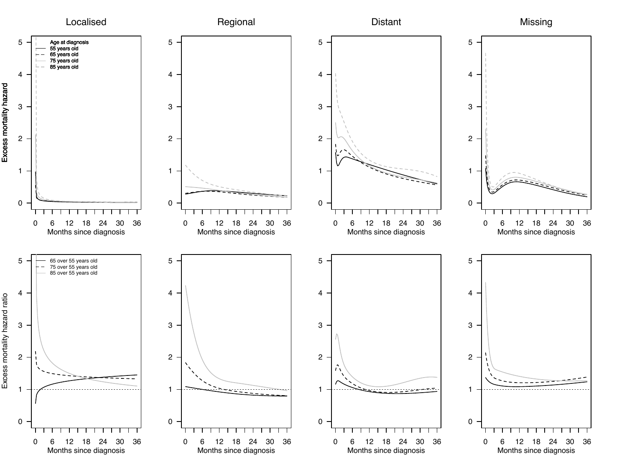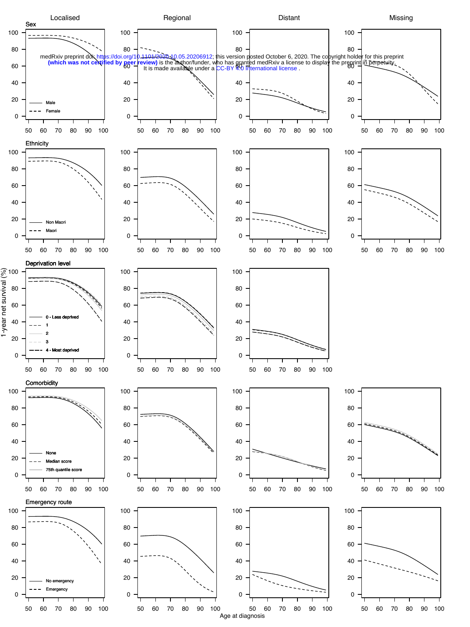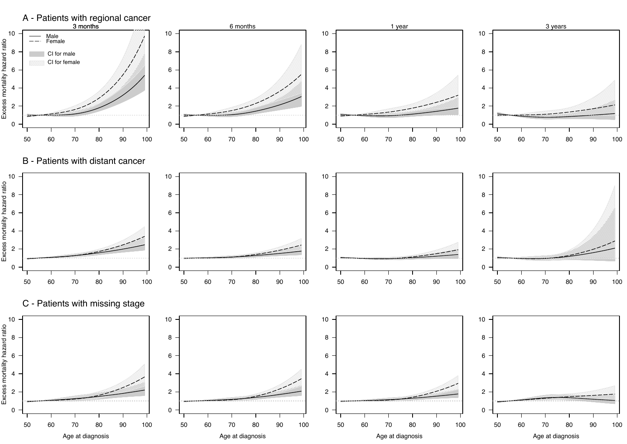